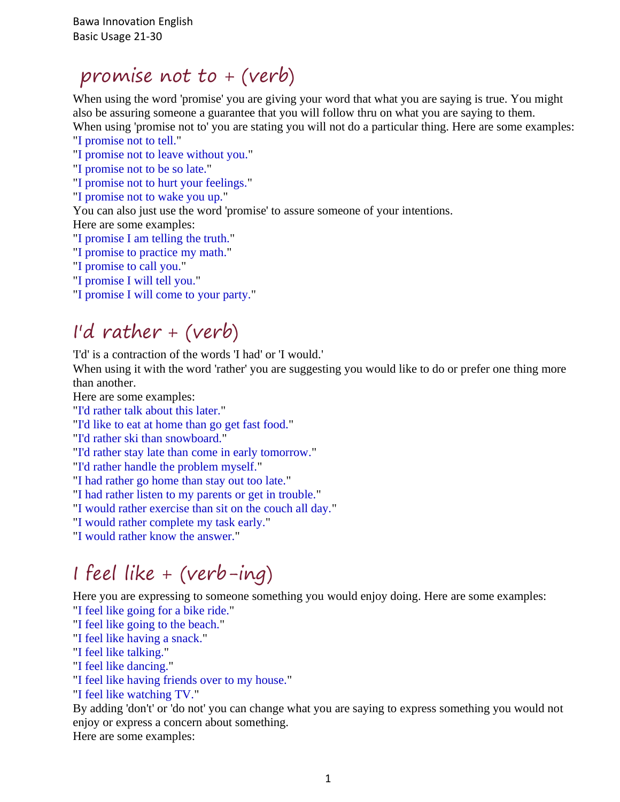### promise not to + (verb)

When using the word 'promise' you are giving your word that what you are saying is true. You might also be assuring someone a guarantee that you will follow thru on what you are saying to them. When using 'promise not to' you are stating you will not do a particular thing. Here are some examples:

"I promise not to tell."

- "I promise not to leave without you."
- "I promise not to be so late."
- "I promise not to hurt your feelings."
- "I promise not to wake you up."

You can also just use the word 'promise' to assure someone of your intentions.

Here are some examples:

"I promise I am telling the truth."

- "I promise to practice my math."
- "I promise to call you."
- "I promise I will tell you."
- "I promise I will come to your party."

## I'd rather + (verb)

'I'd' is a contraction of the words 'I had' or 'I would.'

When using it with the word 'rather' you are suggesting you would like to do or prefer one thing more than another.

Here are some examples:

"I'd rather talk about this later."

"I'd like to eat at home than go get fast food."

"I'd rather ski than snowboard."

"I'd rather stay late than come in early tomorrow."

"I'd rather handle the problem myself."

"I had rather go home than stay out too late."

"I had rather listen to my parents or get in trouble."

"I would rather exercise than sit on the couch all day."

"I would rather complete my task early."

"I would rather know the answer."

# I feel like + (verb-ing)

Here you are expressing to someone something you would enjoy doing. Here are some examples: "I feel like going for a bike ride."

- "I feel like going to the beach."
- "I feel like having a snack."
- "I feel like talking."
- "I feel like dancing."
- "I feel like having friends over to my house."
- "I feel like watching TV."

By adding 'don't' or 'do not' you can change what you are saying to express something you would not enjoy or express a concern about something.

Here are some examples: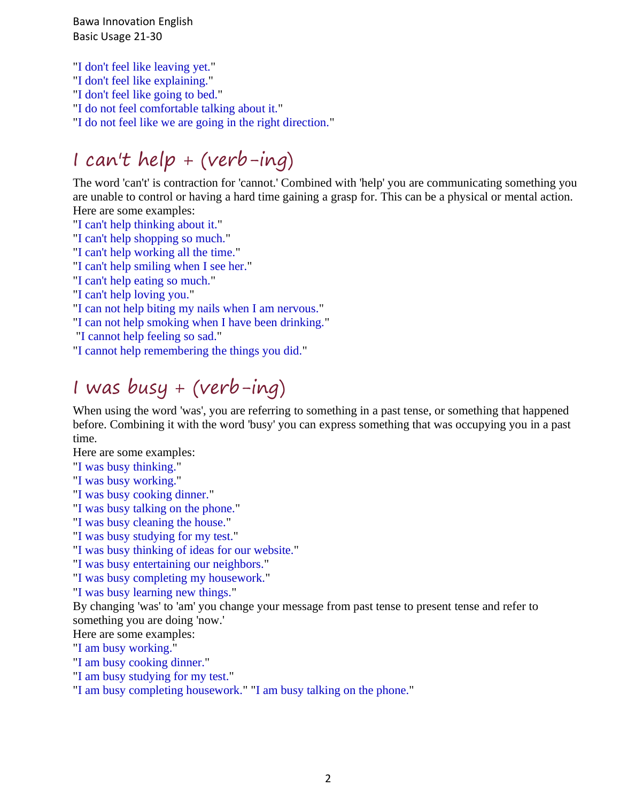Bawa Innovation English Basic Usage 21-30

"I don't feel like leaving yet."

"I don't feel like explaining."

"I don't feel like going to bed."

"I do not feel comfortable talking about it."

"I do not feel like we are going in the right direction."

# I can't help + (verb-ing)

The word 'can't' is contraction for 'cannot.' Combined with 'help' you are communicating something you are unable to control or having a hard time gaining a grasp for. This can be a physical or mental action. Here are some examples:

"I can't help thinking about it."

"I can't help shopping so much."

"I can't help working all the time."

"I can't help smiling when I see her."

"I can't help eating so much."

"I can't help loving you."

"I can not help biting my nails when I am nervous."

"I can not help smoking when I have been drinking."

"I cannot help feeling so sad."

"I cannot help remembering the things you did."

# I was busy + (verb-ing)

When using the word 'was', you are referring to something in a past tense, or something that happened before. Combining it with the word 'busy' you can express something that was occupying you in a past time.

Here are some examples:

"I was busy thinking."

"I was busy working."

"I was busy cooking dinner."

"I was busy talking on the phone."

"I was busy cleaning the house."

"I was busy studying for my test."

"I was busy thinking of ideas for our website."

"I was busy entertaining our neighbors."

"I was busy completing my housework."

"I was busy learning new things."

By changing 'was' to 'am' you change your message from past tense to present tense and refer to something you are doing 'now.'

Here are some examples:

"I am busy working."

"I am busy cooking dinner."

"I am busy studying for my test."

"I am busy completing housework." "I am busy talking on the phone."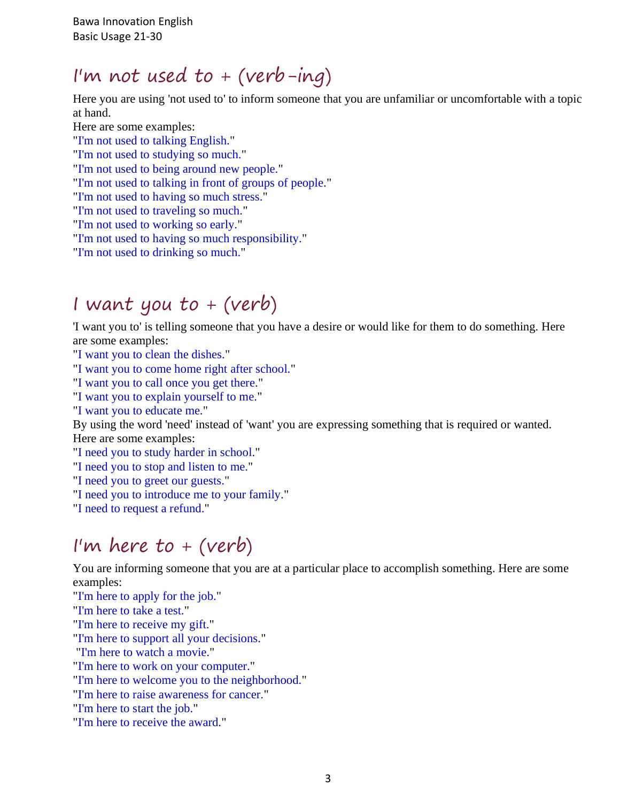Bawa Innovation English Basic Usage 21-30

#### I'm not used to  $+$  (verb-ing)

Here you are using 'not used to' to inform someone that you are unfamiliar or uncomfortable with a topic at hand.

Here are some examples: "I'm not used to talking English." "I'm not used to studying so much." "I'm not used to being around new people." "I'm not used to talking in front of groups of people." "I'm not used to having so much stress." "I'm not used to traveling so much." "I'm not used to working so early." "I'm not used to having so much responsibility." "I'm not used to drinking so much."

### I want you to  $+$  (verb)

'I want you to' is telling someone that you have a desire or would like for them to do something. Here are some examples:

"I want you to clean the dishes."

"I want you to come home right after school."

"I want you to call once you get there."

"I want you to explain yourself to me."

"I want you to educate me."

By using the word 'need' instead of 'want' you are expressing something that is required or wanted.

Here are some examples:

"I need you to study harder in school."

"I need you to stop and listen to me."

"I need you to greet our guests."

"I need you to introduce me to your family."

"I need to request a refund."

### I'm here to  $+$  (verb)

You are informing someone that you are at a particular place to accomplish something. Here are some examples:

"I'm here to apply for the job."

"I'm here to take a test."

"I'm here to receive my gift."

"I'm here to support all your decisions."

"I'm here to watch a movie."

"I'm here to work on your computer."

"I'm here to welcome you to the neighborhood."

"I'm here to raise awareness for cancer."

"I'm here to start the job."

"I'm here to receive the award."